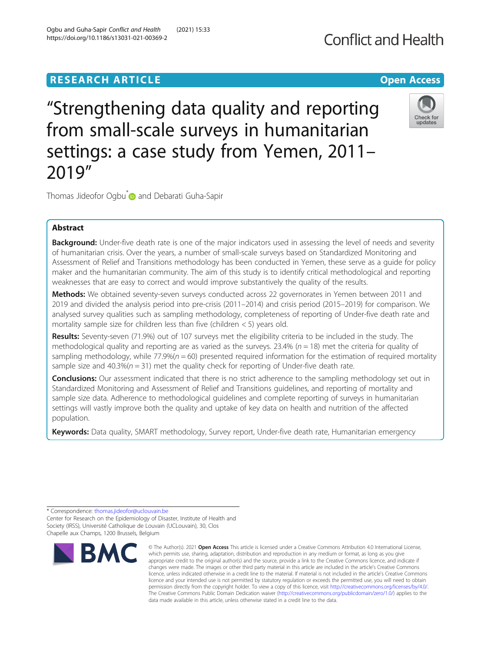# **RESEARCH ARTICLE Example 2014 12:30 THE Open Access**

"Strengthening data quality and reporting from small-scale surveys in humanitarian settings: a case study from Yemen, 2011– 2019"

Thomas Jideofor Ogbu<sup>\*</sup> and Debarati Guha-Sapir

# Abstract

**Background:** Under-five death rate is one of the major indicators used in assessing the level of needs and severity of humanitarian crisis. Over the years, a number of small-scale surveys based on Standardized Monitoring and Assessment of Relief and Transitions methodology has been conducted in Yemen, these serve as a guide for policy maker and the humanitarian community. The aim of this study is to identify critical methodological and reporting weaknesses that are easy to correct and would improve substantively the quality of the results.

**Methods:** We obtained seventy-seven surveys conducted across 22 governorates in Yemen between 2011 and 2019 and divided the analysis period into pre-crisis (2011–2014) and crisis period (2015–2019) for comparison. We analysed survey qualities such as sampling methodology, completeness of reporting of Under-five death rate and mortality sample size for children less than five (children  $<$  5) years old.

Results: Seventy-seven (71.9%) out of 107 surveys met the eligibility criteria to be included in the study. The methodological quality and reporting are as varied as the surveys. 23.4% ( $n = 18$ ) met the criteria for quality of sampling methodology, while  $77.9\%$  ( $n = 60$ ) presented required information for the estimation of required mortality sample size and 40.3%( $n = 31$ ) met the quality check for reporting of Under-five death rate.

**Conclusions:** Our assessment indicated that there is no strict adherence to the sampling methodology set out in Standardized Monitoring and Assessment of Relief and Transitions guidelines, and reporting of mortality and sample size data. Adherence to methodological guidelines and complete reporting of surveys in humanitarian settings will vastly improve both the quality and uptake of key data on health and nutrition of the affected population.

Keywords: Data quality, SMART methodology, Survey report, Under-five death rate, Humanitarian emergency

© The Author(s), 2021 **Open Access** This article is licensed under a Creative Commons Attribution 4.0 International License,







<sup>\*</sup> Correspondence: [thomas.jideofor@uclouvain.be](mailto:thomas.jideofor@uclouvain.be)

Center for Research on the Epidemiology of Disaster, Institute of Health and Society (IRSS), Université Catholique de Louvain (UCLouvain), 30, Clos Chapelle aux Champs, 1200 Brussels, Belgium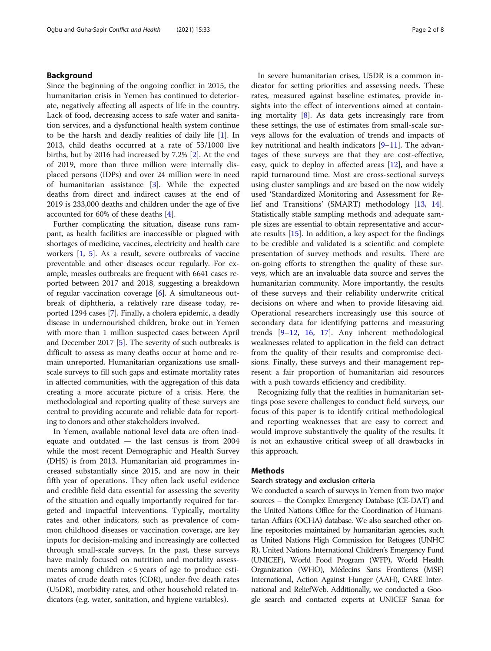# Background

Since the beginning of the ongoing conflict in 2015, the humanitarian crisis in Yemen has continued to deteriorate, negatively affecting all aspects of life in the country. Lack of food, decreasing access to safe water and sanitation services, and a dysfunctional health system continue to be the harsh and deadly realities of daily life [\[1](#page-7-0)]. In 2013, child deaths occurred at a rate of 53/1000 live births, but by 2016 had increased by 7.2% [\[2](#page-7-0)]. At the end of 2019, more than three million were internally displaced persons (IDPs) and over 24 million were in need of humanitarian assistance [[3\]](#page-7-0). While the expected deaths from direct and indirect causes at the end of 2019 is 233,000 deaths and children under the age of five accounted for 60% of these deaths [[4\]](#page-7-0).

Further complicating the situation, disease runs rampant, as health facilities are inaccessible or plagued with shortages of medicine, vaccines, electricity and health care workers [\[1](#page-7-0), [5\]](#page-7-0). As a result, severe outbreaks of vaccine preventable and other diseases occur regularly. For example, measles outbreaks are frequent with 6641 cases reported between 2017 and 2018, suggesting a breakdown of regular vaccination coverage [[6\]](#page-7-0). A simultaneous outbreak of diphtheria, a relatively rare disease today, reported 1294 cases [[7\]](#page-7-0). Finally, a cholera epidemic, a deadly disease in undernourished children, broke out in Yemen with more than 1 million suspected cases between April and December 2017 [\[5\]](#page-7-0). The severity of such outbreaks is difficult to assess as many deaths occur at home and remain unreported. Humanitarian organizations use smallscale surveys to fill such gaps and estimate mortality rates in affected communities, with the aggregation of this data creating a more accurate picture of a crisis. Here, the methodological and reporting quality of these surveys are central to providing accurate and reliable data for reporting to donors and other stakeholders involved.

In Yemen, available national level data are often inadequate and outdated — the last census is from 2004 while the most recent Demographic and Health Survey (DHS) is from 2013. Humanitarian aid programmes increased substantially since 2015, and are now in their fifth year of operations. They often lack useful evidence and credible field data essential for assessing the severity of the situation and equally importantly required for targeted and impactful interventions. Typically, mortality rates and other indicators, such as prevalence of common childhood diseases or vaccination coverage, are key inputs for decision-making and increasingly are collected through small-scale surveys. In the past, these surveys have mainly focused on nutrition and mortality assessments among children  $<$  5 years of age to produce estimates of crude death rates (CDR), under-five death rates (U5DR), morbidity rates, and other household related indicators (e.g. water, sanitation, and hygiene variables).

In severe humanitarian crises, U5DR is a common indicator for setting priorities and assessing needs. These rates, measured against baseline estimates, provide insights into the effect of interventions aimed at containing mortality [\[8](#page-7-0)]. As data gets increasingly rare from these settings, the use of estimates from small-scale surveys allows for the evaluation of trends and impacts of key nutritional and health indicators  $[9-11]$  $[9-11]$  $[9-11]$ . The advantages of these surveys are that they are cost-effective, easy, quick to deploy in affected areas [\[12](#page-7-0)], and have a rapid turnaround time. Most are cross-sectional surveys using cluster samplings and are based on the now widely used 'Standardized Monitoring and Assessment for Relief and Transitions' (SMART) methodology [[13,](#page-7-0) [14](#page-7-0)]. Statistically stable sampling methods and adequate sample sizes are essential to obtain representative and accurate results [[15\]](#page-7-0). In addition, a key aspect for the findings to be credible and validated is a scientific and complete presentation of survey methods and results. There are on-going efforts to strengthen the quality of these surveys, which are an invaluable data source and serves the humanitarian community. More importantly, the results of these surveys and their reliability underwrite critical decisions on where and when to provide lifesaving aid. Operational researchers increasingly use this source of secondary data for identifying patterns and measuring trends [\[9](#page-7-0)–[12](#page-7-0), [16,](#page-7-0) [17\]](#page-7-0). Any inherent methodological weaknesses related to application in the field can detract from the quality of their results and compromise decisions. Finally, these surveys and their management represent a fair proportion of humanitarian aid resources with a push towards efficiency and credibility.

Recognizing fully that the realities in humanitarian settings pose severe challenges to conduct field surveys, our focus of this paper is to identify critical methodological and reporting weaknesses that are easy to correct and would improve substantively the quality of the results. It is not an exhaustive critical sweep of all drawbacks in this approach.

# **Methods**

## Search strategy and exclusion criteria

We conducted a search of surveys in Yemen from two major sources – the Complex Emergency Database (CE-DAT) and the United Nations Office for the Coordination of Humanitarian Affairs (OCHA) database. We also searched other online repositories maintained by humanitarian agencies, such as United Nations High Commission for Refugees (UNHC R), United Nations International Children's Emergency Fund (UNICEF), World Food Program (WFP), World Health Organization (WHO), Médecins Sans Frontieres (MSF) International, Action Against Hunger (AAH), CARE International and ReliefWeb. Additionally, we conducted a Google search and contacted experts at UNICEF Sanaa for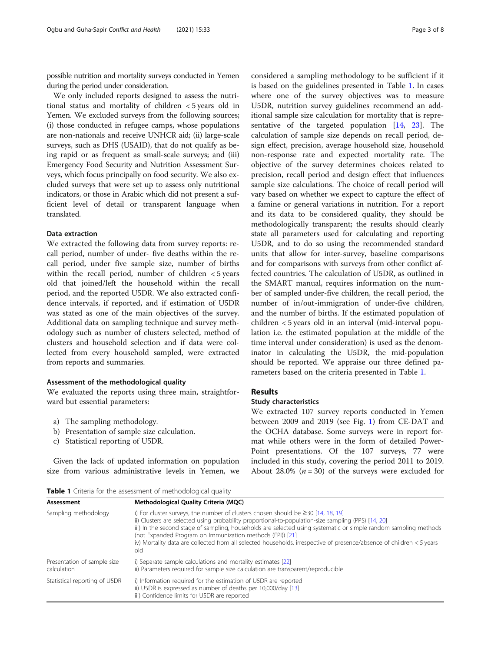<span id="page-2-0"></span>possible nutrition and mortality surveys conducted in Yemen during the period under consideration.

We only included reports designed to assess the nutritional status and mortality of children < 5 years old in Yemen. We excluded surveys from the following sources; (i) those conducted in refugee camps, whose populations are non-nationals and receive UNHCR aid; (ii) large-scale surveys, such as DHS (USAID), that do not qualify as being rapid or as frequent as small-scale surveys; and (iii) Emergency Food Security and Nutrition Assessment Surveys, which focus principally on food security. We also excluded surveys that were set up to assess only nutritional indicators, or those in Arabic which did not present a sufficient level of detail or transparent language when translated.

### Data extraction

We extracted the following data from survey reports: recall period, number of under- five deaths within the recall period, under five sample size, number of births within the recall period, number of children < 5 years old that joined/left the household within the recall period, and the reported U5DR. We also extracted confidence intervals, if reported, and if estimation of U5DR was stated as one of the main objectives of the survey. Additional data on sampling technique and survey methodology such as number of clusters selected, method of clusters and household selection and if data were collected from every household sampled, were extracted from reports and summaries.

### Assessment of the methodological quality

We evaluated the reports using three main, straightforward but essential parameters:

- a) The sampling methodology.
- b) Presentation of sample size calculation.
- c) Statistical reporting of U5DR.

Given the lack of updated information on population size from various administrative levels in Yemen, we

considered a sampling methodology to be sufficient if it is based on the guidelines presented in Table 1. In cases where one of the survey objectives was to measure U5DR, nutrition survey guidelines recommend an additional sample size calculation for mortality that is representative of the targeted population  $[14, 23]$  $[14, 23]$  $[14, 23]$  $[14, 23]$  $[14, 23]$ . The calculation of sample size depends on recall period, design effect, precision, average household size, household non-response rate and expected mortality rate. The objective of the survey determines choices related to precision, recall period and design effect that influences sample size calculations. The choice of recall period will vary based on whether we expect to capture the effect of a famine or general variations in nutrition. For a report and its data to be considered quality, they should be methodologically transparent; the results should clearly state all parameters used for calculating and reporting U5DR, and to do so using the recommended standard units that allow for inter-survey, baseline comparisons and for comparisons with surveys from other conflict affected countries. The calculation of U5DR, as outlined in the SMART manual, requires information on the number of sampled under-five children, the recall period, the number of in/out-immigration of under-five children, and the number of births. If the estimated population of children < 5 years old in an interval (mid-interval population i.e. the estimated population at the middle of the time interval under consideration) is used as the denominator in calculating the U5DR, the mid-population should be reported. We appraise our three defined parameters based on the criteria presented in Table 1.

# Results

### Study characteristics

We extracted 107 survey reports conducted in Yemen between 2009 and 2019 (see Fig. [1](#page-3-0)) from CE-DAT and the OCHA database. Some surveys were in report format while others were in the form of detailed Power-Point presentations. Of the 107 surveys, 77 were included in this study, covering the period 2011 to 2019. About 28.0% ( $n = 30$ ) of the surveys were excluded for

Table 1 Criteria for the assessment of methodological quality

| Assessment                                 | Methodological Quality Criteria (MQC)                                                                                                                                                                                                                                                                                                                                                                                                                                                                          |
|--------------------------------------------|----------------------------------------------------------------------------------------------------------------------------------------------------------------------------------------------------------------------------------------------------------------------------------------------------------------------------------------------------------------------------------------------------------------------------------------------------------------------------------------------------------------|
| Sampling methodology                       | i) For cluster surveys, the number of clusters chosen should be $\geq$ 30 [14, 18, 19]<br>ii) Clusters are selected using probability proportional-to-population-size sampling (PPS) [14, 20]<br>iii) In the second stage of sampling, households are selected using systematic or simple random sampling methods<br>(not Expanded Program on Immunization methods (EPI)) [21]<br>iv) Mortality data are collected from all selected households, irrespective of presence/absence of children < 5 years<br>old |
| Presentation of sample size<br>calculation | i) Separate sample calculations and mortality estimates [22]<br>ii) Parameters required for sample size calculation are transparent/reproducible                                                                                                                                                                                                                                                                                                                                                               |
| Statistical reporting of U5DR              | i) Information required for the estimation of U5DR are reported<br>ii) U5DR is expressed as number of deaths per 10,000/day [13]<br>iii) Confidence limits for U5DR are reported                                                                                                                                                                                                                                                                                                                               |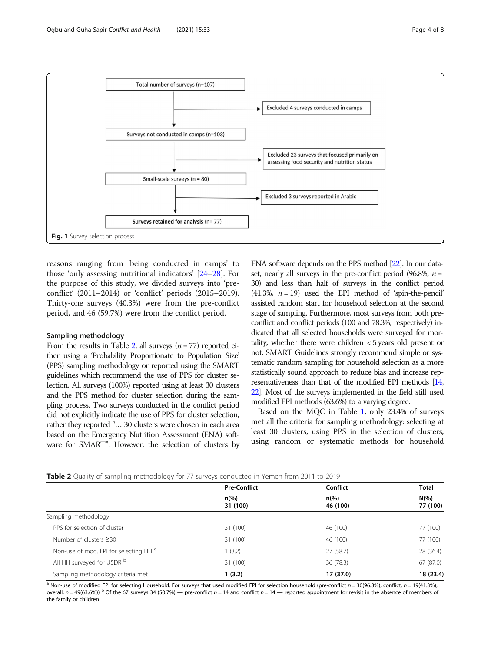<span id="page-3-0"></span>

reasons ranging from 'being conducted in camps' to those 'only assessing nutritional indicators' [\[24](#page-7-0)–[28\]](#page-7-0). For the purpose of this study, we divided surveys into 'preconflict' (2011–2014) or 'conflict' periods (2015–2019). Thirty-one surveys (40.3%) were from the pre-conflict period, and 46 (59.7%) were from the conflict period.

### Sampling methodology

From the results in Table 2, all surveys ( $n = 77$ ) reported either using a 'Probability Proportionate to Population Size' (PPS) sampling methodology or reported using the SMART guidelines which recommend the use of PPS for cluster selection. All surveys (100%) reported using at least 30 clusters and the PPS method for cluster selection during the sampling process. Two surveys conducted in the conflict period did not explicitly indicate the use of PPS for cluster selection, rather they reported "… 30 clusters were chosen in each area based on the Emergency Nutrition Assessment (ENA) software for SMART". However, the selection of clusters by

ENA software depends on the PPS method [[22\]](#page-7-0). In our dataset, nearly all surveys in the pre-conflict period (96.8%,  $n =$ 30) and less than half of surveys in the conflict period (41.3%,  $n = 19$ ) used the EPI method of 'spin-the-pencil' assisted random start for household selection at the second stage of sampling. Furthermore, most surveys from both preconflict and conflict periods (100 and 78.3%, respectively) indicated that all selected households were surveyed for mortality, whether there were children < 5 years old present or not. SMART Guidelines strongly recommend simple or systematic random sampling for household selection as a more statistically sound approach to reduce bias and increase representativeness than that of the modified EPI methods [\[14](#page-7-0), [22\]](#page-7-0). Most of the surveys implemented in the field still used modified EPI methods (63.6%) to a varying degree.

Based on the MQC in Table [1](#page-2-0), only 23.4% of surveys met all the criteria for sampling methodology: selecting at least 30 clusters, using PPS in the selection of clusters, using random or systematic methods for household

| <b>Existed</b> $\frac{1}{2}$ and $\frac{1}{2}$ and $\frac{1}{2}$ intermodulus $\frac{1}{2}$ for $\frac{1}{2}$ , $\frac{1}{2}$ comadeted in Terment montrizer to zone |                                                   |                            |                     |  |  |
|----------------------------------------------------------------------------------------------------------------------------------------------------------------------|---------------------------------------------------|----------------------------|---------------------|--|--|
|                                                                                                                                                                      | <b>Pre-Conflict</b><br>$n\frac{9}{6}$<br>31 (100) | Conflict                   | <b>Total</b>        |  |  |
|                                                                                                                                                                      |                                                   | $n\frac{9}{6}$<br>46 (100) | $N(\%)$<br>77 (100) |  |  |
| Sampling methodology                                                                                                                                                 |                                                   |                            |                     |  |  |
| PPS for selection of cluster                                                                                                                                         | 31 (100)                                          | 46 (100)                   | 77 (100)            |  |  |
| Number of clusters $\geq$ 30                                                                                                                                         | 31 (100)                                          | 46 (100)                   | 77 (100)            |  |  |
| Non-use of mod. EPI for selecting HH <sup>a</sup>                                                                                                                    | (3.2)                                             | 27(58.7)                   | 28 (36.4)           |  |  |

Table 2 Quality of sampling methodology for 77 surveys conducted in Yemen from 2011 to 2019

 $a$  Non-use of modified EPI for selecting Household. For surveys that used modified EPI for selection household (pre-conflict  $n = 30(96.8\%)$ , conflict,  $n = 19(41.3\%)$ ; overall,  $n = 49(63.6%)$  <sup>b</sup> Of the 67 surveys 34 (50.7%) — pre-conflict  $n = 14$  and conflict  $n = 14$  — reported appointment for revisit in the absence of members of the family or children

All HH surveyed for U5DR <sup>b</sup> 31 (100) 36 (78.3) 31 (100 36 (78.3) 67 (87.0) Sampling methodology criteria met 1 (3.2) 17 (37.0) 18 (23.4)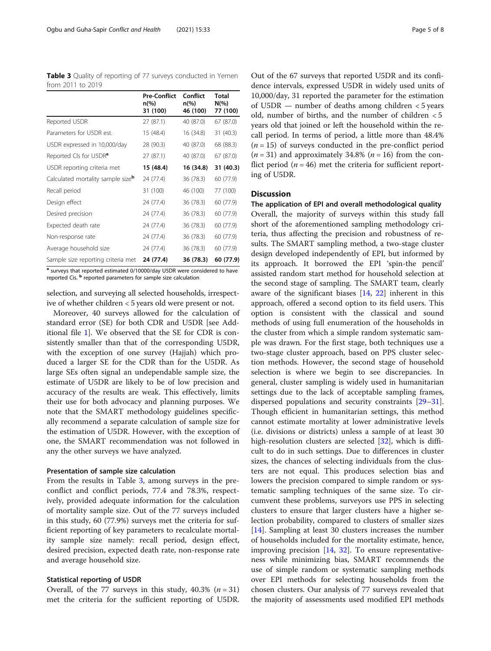Table 3 Quality of reporting of 77 surveys conducted in Yemen from 2011 to 2019

|                                               | <b>Pre-Conflict</b><br>$n\left(\%\right)$<br>31 (100) | Conflict<br>n(%)<br>46 (100) | <b>Total</b><br>$N(\%)$<br>77 (100) |
|-----------------------------------------------|-------------------------------------------------------|------------------------------|-------------------------------------|
| Reported U5DR                                 | 27 (87.1)                                             | 40 (87.0)                    | 67 (87.0)                           |
| Parameters for U5DR est.                      | 15 (48.4)                                             | 16 (34.8)                    | 31 (40.3)                           |
| U5DR expressed in 10,000/day                  | 28 (90.3)                                             | 40 (87.0)                    | 68 (88.3)                           |
| Reported CIs for U5DR <sup>a</sup>            | 27 (87.1)                                             | 40 (87.0)                    | 67 (87.0)                           |
| U5DR reporting criteria met                   | 15 (48.4)                                             | 16 (34.8)                    | 31 (40.3)                           |
| Calculated mortality sample size <sup>b</sup> | 24 (77.4)                                             | 36 (78.3)                    | 60 (77.9)                           |
| Recall period                                 | 31 (100)                                              | 46 (100)                     | 77 (100)                            |
| Design effect                                 | 24 (77.4)                                             | 36 (78.3)                    | 60 (77.9)                           |
| Desired precision                             | 24 (77.4)                                             | 36 (78.3)                    | 60 (77.9)                           |
| Expected death rate                           | 24 (77.4)                                             | 36 (78.3)                    | 60 (77.9)                           |
| Non-response rate                             | 24 (77.4)                                             | 36 (78.3)                    | 60 (77.9)                           |
| Average household size                        | 24 (77.4)                                             | 36 (78.3)                    | 60 (77.9)                           |
| Sample size reporting criteria met            | 24 (77.4)                                             | 36 (78.3)                    | 60 (77.9)                           |

a surveys that reported estimated 0/10000/day U5DR were considered to have reported Cis. <sup>b</sup> reported parameters for sample size calculation

selection, and surveying all selected households, irrespective of whether children < 5 years old were present or not.

Moreover, 40 surveys allowed for the calculation of standard error (SE) for both CDR and U5DR [see Additional file [1\]](#page-6-0). We observed that the SE for CDR is consistently smaller than that of the corresponding U5DR, with the exception of one survey (Hajjah) which produced a larger SE for the CDR than for the U5DR. As large SEs often signal an undependable sample size, the estimate of U5DR are likely to be of low precision and accuracy of the results are weak. This effectively, limits their use for both advocacy and planning purposes. We note that the SMART methodology guidelines specifically recommend a separate calculation of sample size for the estimation of U5DR. However, with the exception of one, the SMART recommendation was not followed in any the other surveys we have analyzed.

## Presentation of sample size calculation

From the results in Table 3, among surveys in the preconflict and conflict periods, 77.4 and 78.3%, respectively, provided adequate information for the calculation of mortality sample size. Out of the 77 surveys included in this study, 60 (77.9%) surveys met the criteria for sufficient reporting of key parameters to recalculate mortality sample size namely: recall period, design effect, desired precision, expected death rate, non-response rate and average household size.

### Statistical reporting of U5DR

Overall, of the 77 surveys in this study, 40.3% ( $n = 31$ ) met the criteria for the sufficient reporting of U5DR.

Out of the 67 surveys that reported U5DR and its confidence intervals, expressed U5DR in widely used units of 10,000/day, 31 reported the parameter for the estimation of U5DR — number of deaths among children < 5 years old, number of births, and the number of children < 5 years old that joined or left the household within the recall period. In terms of period, a little more than 48.4%  $(n = 15)$  of surveys conducted in the pre-conflict period  $(n = 31)$  and approximately 34.8%  $(n = 16)$  from the conflict period ( $n = 46$ ) met the criteria for sufficient reporting of U5DR.

# **Discussion**

The application of EPI and overall methodological quality Overall, the majority of surveys within this study fall short of the aforementioned sampling methodology criteria, thus affecting the precision and robustness of results. The SMART sampling method, a two-stage cluster design developed independently of EPI, but informed by its approach. It borrowed the EPI 'spin-the pencil' assisted random start method for household selection at the second stage of sampling. The SMART team, clearly aware of the significant biases [[14](#page-7-0), [22\]](#page-7-0) inherent in this approach, offered a second option to its field users. This option is consistent with the classical and sound methods of using full enumeration of the households in the cluster from which a simple random systematic sample was drawn. For the first stage, both techniques use a two-stage cluster approach, based on PPS cluster selection methods. However, the second stage of household selection is where we begin to see discrepancies. In general, cluster sampling is widely used in humanitarian settings due to the lack of acceptable sampling frames, dispersed populations and security constraints [[29](#page-7-0)–[31](#page-7-0)]. Though efficient in humanitarian settings, this method cannot estimate mortality at lower administrative levels (i.e. divisions or districts) unless a sample of at least 30 high-resolution clusters are selected [[32](#page-7-0)], which is difficult to do in such settings. Due to differences in cluster sizes, the chances of selecting individuals from the clusters are not equal. This produces selection bias and lowers the precision compared to simple random or systematic sampling techniques of the same size. To circumvent these problems, surveyors use PPS in selecting clusters to ensure that larger clusters have a higher selection probability, compared to clusters of smaller sizes [[14\]](#page-7-0). Sampling at least 30 clusters increases the number of households included for the mortality estimate, hence, improving precision [\[14](#page-7-0), [32](#page-7-0)]. To ensure representativeness while minimizing bias, SMART recommends the use of simple random or systematic sampling methods over EPI methods for selecting households from the chosen clusters. Our analysis of 77 surveys revealed that the majority of assessments used modified EPI methods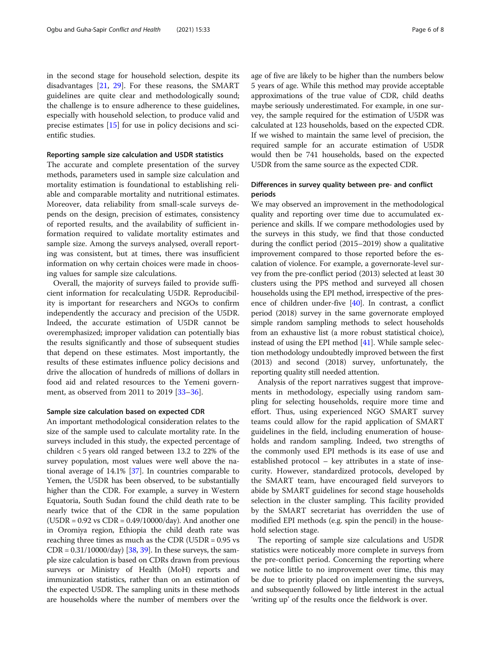in the second stage for household selection, despite its disadvantages [[21](#page-7-0), [29](#page-7-0)]. For these reasons, the SMART guidelines are quite clear and methodologically sound; the challenge is to ensure adherence to these guidelines, especially with household selection, to produce valid and precise estimates [\[15](#page-7-0)] for use in policy decisions and scientific studies.

### Reporting sample size calculation and U5DR statistics

The accurate and complete presentation of the survey methods, parameters used in sample size calculation and mortality estimation is foundational to establishing reliable and comparable mortality and nutritional estimates. Moreover, data reliability from small-scale surveys depends on the design, precision of estimates, consistency of reported results, and the availability of sufficient information required to validate mortality estimates and sample size. Among the surveys analysed, overall reporting was consistent, but at times, there was insufficient information on why certain choices were made in choosing values for sample size calculations.

Overall, the majority of surveys failed to provide sufficient information for recalculating U5DR. Reproducibility is important for researchers and NGOs to confirm independently the accuracy and precision of the U5DR. Indeed, the accurate estimation of U5DR cannot be overemphasized; improper validation can potentially bias the results significantly and those of subsequent studies that depend on these estimates. Most importantly, the results of these estimates influence policy decisions and drive the allocation of hundreds of millions of dollars in food aid and related resources to the Yemeni government, as observed from 2011 to 2019 [[33](#page-7-0)–[36](#page-7-0)].

### Sample size calculation based on expected CDR

An important methodological consideration relates to the size of the sample used to calculate mortality rate. In the surveys included in this study, the expected percentage of children < 5 years old ranged between 13.2 to 22% of the survey population, most values were well above the national average of 14.1% [\[37](#page-7-0)]. In countries comparable to Yemen, the U5DR has been observed, to be substantially higher than the CDR. For example, a survey in Western Equatoria, South Sudan found the child death rate to be nearly twice that of the CDR in the same population (U5DR = 0.92 vs CDR = 0.49/10000/day). And another one in Oromiya region, Ethiopia the child death rate was reaching three times as much as the CDR  $(U5DR = 0.95 \text{ vs } 0.95\text{)}$  $CDR = 0.31/10000/day$  [[38](#page-7-0), [39\]](#page-7-0). In these surveys, the sample size calculation is based on CDRs drawn from previous surveys or Ministry of Health (MoH) reports and immunization statistics, rather than on an estimation of the expected U5DR. The sampling units in these methods are households where the number of members over the

age of five are likely to be higher than the numbers below 5 years of age. While this method may provide acceptable approximations of the true value of CDR, child deaths maybe seriously underestimated. For example, in one survey, the sample required for the estimation of U5DR was calculated at 123 households, based on the expected CDR. If we wished to maintain the same level of precision, the required sample for an accurate estimation of U5DR would then be 741 households, based on the expected U5DR from the same source as the expected CDR.

# Differences in survey quality between pre- and conflict periods

We may observed an improvement in the methodological quality and reporting over time due to accumulated experience and skills. If we compare methodologies used by the surveys in this study, we find that those conducted during the conflict period (2015–2019) show a qualitative improvement compared to those reported before the escalation of violence. For example, a governorate-level survey from the pre-conflict period (2013) selected at least 30 clusters using the PPS method and surveyed all chosen households using the EPI method, irrespective of the presence of children under-five [\[40\]](#page-7-0). In contrast, a conflict period (2018) survey in the same governorate employed simple random sampling methods to select households from an exhaustive list (a more robust statistical choice), instead of using the EPI method  $[41]$ . While sample selection methodology undoubtedly improved between the first (2013) and second (2018) survey, unfortunately, the reporting quality still needed attention.

Analysis of the report narratives suggest that improvements in methodology, especially using random sampling for selecting households, require more time and effort. Thus, using experienced NGO SMART survey teams could allow for the rapid application of SMART guidelines in the field, including enumeration of households and random sampling. Indeed, two strengths of the commonly used EPI methods is its ease of use and established protocol – key attributes in a state of insecurity. However, standardized protocols, developed by the SMART team, have encouraged field surveyors to abide by SMART guidelines for second stage households selection in the cluster sampling. This facility provided by the SMART secretariat has overridden the use of modified EPI methods (e.g. spin the pencil) in the household selection stage.

The reporting of sample size calculations and U5DR statistics were noticeably more complete in surveys from the pre-conflict period. Concerning the reporting where we notice little to no improvement over time, this may be due to priority placed on implementing the surveys, and subsequently followed by little interest in the actual 'writing up' of the results once the fieldwork is over.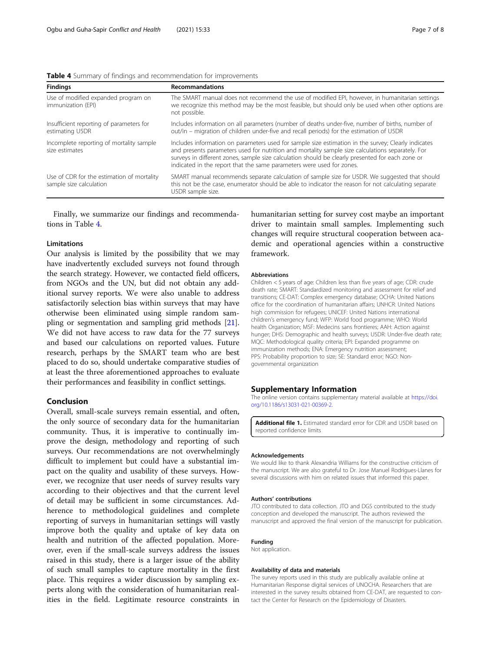<span id="page-6-0"></span>

| <b>Findings</b>                                                       | <b>Recommandations</b>                                                                                                                                                                                                                                                                                                                                                                |
|-----------------------------------------------------------------------|---------------------------------------------------------------------------------------------------------------------------------------------------------------------------------------------------------------------------------------------------------------------------------------------------------------------------------------------------------------------------------------|
| Use of modified expanded program on<br>immunization (EPI)             | The SMART manual does not recommend the use of modified EPI, however, in humanitarian settings<br>we recognize this method may be the most feasible, but should only be used when other options are<br>not possible.                                                                                                                                                                  |
| Insufficient reporting of parameters for<br>estimating U5DR           | Includes information on all parameters (number of deaths under-five, number of births, number of<br>out/in – migration of children under-five and recall periods) for the estimation of U5DR                                                                                                                                                                                          |
| Incomplete reporting of mortality sample<br>size estimates            | Includes information on parameters used for sample size estimation in the survey; Clearly indicates<br>and presents parameters used for nutrition and mortality sample size calculations separately. For<br>surveys in different zones, sample size calculation should be clearly presented for each zone or<br>indicated in the report that the same parameters were used for zones. |
| Use of CDR for the estimation of mortality<br>sample size calculation | SMART manual recommends separate calculation of sample size for U5DR. We suggested that should<br>this not be the case, enumerator should be able to indicator the reason for not calculating separate<br>U5DR sample size.                                                                                                                                                           |

Finally, we summarize our findings and recommendations in Table 4.

# Limitations

Our analysis is limited by the possibility that we may have inadvertently excluded surveys not found through the search strategy. However, we contacted field officers, from NGOs and the UN, but did not obtain any additional survey reports. We were also unable to address satisfactorily selection bias within surveys that may have otherwise been eliminated using simple random sampling or segmentation and sampling grid methods [\[21](#page-7-0)]. We did not have access to raw data for the 77 surveys and based our calculations on reported values. Future research, perhaps by the SMART team who are best placed to do so, should undertake comparative studies of at least the three aforementioned approaches to evaluate their performances and feasibility in conflict settings.

# Conclusion

Overall, small-scale surveys remain essential, and often, the only source of secondary data for the humanitarian community. Thus, it is imperative to continually improve the design, methodology and reporting of such surveys. Our recommendations are not overwhelmingly difficult to implement but could have a substantial impact on the quality and usability of these surveys. However, we recognize that user needs of survey results vary according to their objectives and that the current level of detail may be sufficient in some circumstances. Adherence to methodological guidelines and complete reporting of surveys in humanitarian settings will vastly improve both the quality and uptake of key data on health and nutrition of the affected population. Moreover, even if the small-scale surveys address the issues raised in this study, there is a larger issue of the ability of such small samples to capture mortality in the first place. This requires a wider discussion by sampling experts along with the consideration of humanitarian realities in the field. Legitimate resource constraints in

humanitarian setting for survey cost maybe an important driver to maintain small samples. Implementing such changes will require structural cooperation between academic and operational agencies within a constructive framework.

#### Abbreviations

Children < 5 years of age: Children less than five years of age; CDR: crude death rate; SMART: Standardized monitoring and assessment for relief and transitions; CE-DAT: Complex emergency database; OCHA: United Nations office for the coordination of humanitarian affairs; UNHCR: United Nations high commission for refugees; UNICEF: United Nations international children's emergency fund; WFP: World food programme; WHO: World health Organization; MSF: Medecins sans frontieres; AAH: Action against hunger; DHS: Demographic and health surveys; U5DR: Under-five death rate; MQC: Methodological quality criteria; EPI: Expanded programme on immunization methods; ENA: Emergency nutrition assessment; PPS: Probability proportion to size; SE: Standard error; NGO: Nongovernmental organization

## Supplementary Information

The online version contains supplementary material available at [https://doi.](https://doi.org/10.1186/s13031-021-00369-2) [org/10.1186/s13031-021-00369-2.](https://doi.org/10.1186/s13031-021-00369-2)

Additional file 1. Estimated standard error for CDR and U5DR based on reported confidence limits

#### Acknowledgements

We would like to thank Alexandria Williams for the constructive criticism of the manuscript. We are also grateful to Dr. Jose Manuel Rodrigues-Llanes for several discussions with him on related issues that informed this paper.

#### Authors' contributions

JTO contributed to data collection. JTO and DGS contributed to the study conception and developed the manuscript. The authors reviewed the manuscript and approved the final version of the manuscript for publication.

### Funding

Not application.

#### Availability of data and materials

The survey reports used in this study are publically available online at Humanitarian Response digital services of UNOCHA. Researchers that are interested in the survey results obtained from CE-DAT, are requested to contact the Center for Research on the Epidemiology of Disasters.